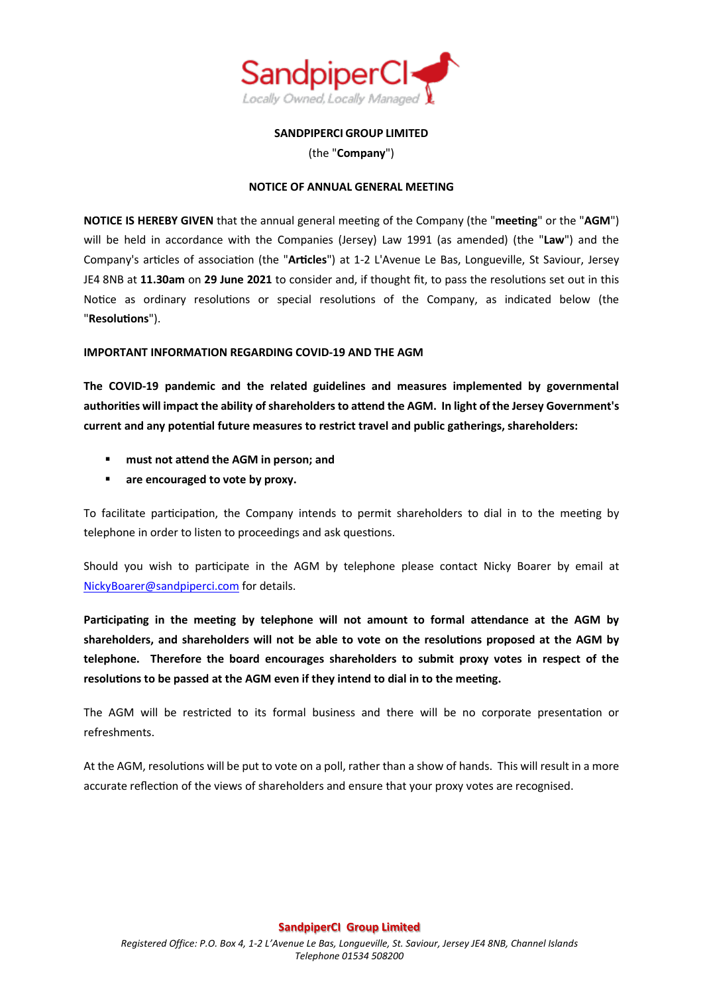

**SANDPIPERCI GROUP LIMITED**

(the "**Company**")

## **NOTICE OF ANNUAL GENERAL MEETING**

**NOTICE IS HEREBY GIVEN** that the annual general meeting of the Company (the "**meeting**" or the "**AGM**") will be held in accordance with the Companies (Jersey) Law 1991 (as amended) (the "**Law**") and the Company's articles of association (the "**Articles**") at 1-2 L'Avenue Le Bas, Longueville, St Saviour, Jersey JE4 8NB at **11.30am** on **29 June 2021** to consider and, if thought fit, to pass the resolutions set out in this Notice as ordinary resolutions or special resolutions of the Company, as indicated below (the "**Resolutions**").

# **IMPORTANT INFORMATION REGARDING COVID-19 AND THE AGM**

**The COVID-19 pandemic and the related guidelines and measures implemented by governmental authorities will impact the ability of shareholders to attend the AGM. In light of the Jersey Government's current and any potential future measures to restrict travel and public gatherings, shareholders:**

- **must not attend the AGM in person; and**
- **are encouraged to vote by proxy.**

To facilitate participation, the Company intends to permit shareholders to dial in to the meeting by telephone in order to listen to proceedings and ask questions.

Should you wish to participate in the AGM by telephone please contact Nicky Boarer by email at [NickyBoarer@sandpiperci.com](mailto:NickyBoarer@sandpiperci.com) for details.

**Participating in the meeting by telephone will not amount to formal attendance at the AGM by shareholders, and shareholders will not be able to vote on the resolutions proposed at the AGM by telephone. Therefore the board encourages shareholders to submit proxy votes in respect of the resolutions to be passed at the AGM even if they intend to dial in to the meeting.**

The AGM will be restricted to its formal business and there will be no corporate presentation or refreshments.

At the AGM, resolutions will be put to vote on a poll, rather than a show of hands. This will result in a more accurate reflection of the views of shareholders and ensure that your proxy votes are recognised.

## **SandpiperCI Group Limited**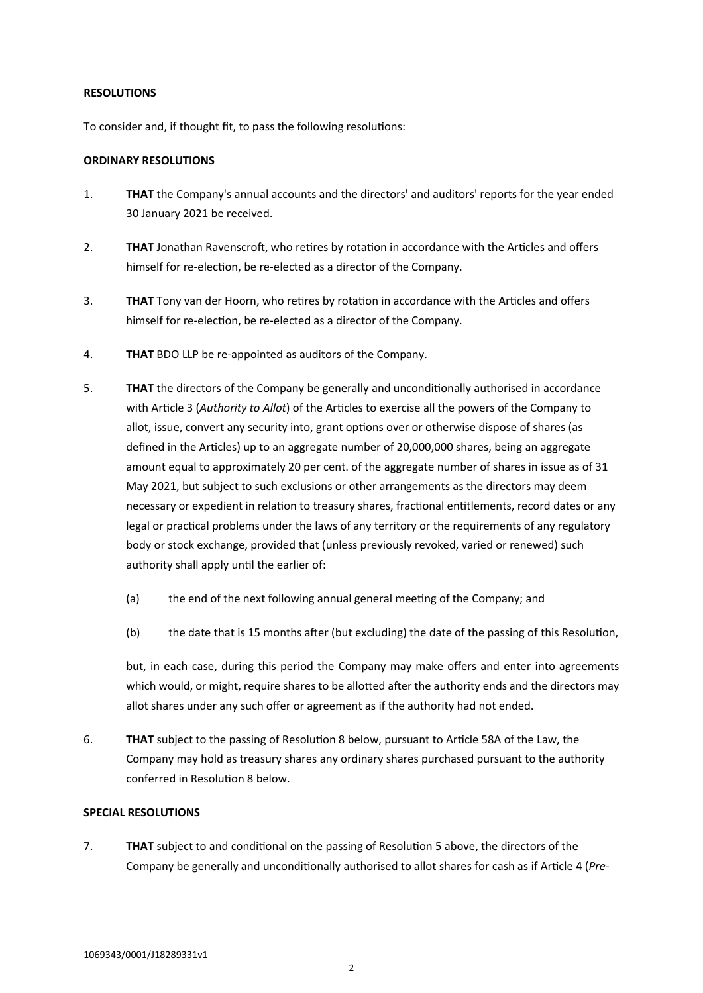### **RESOLUTIONS**

To consider and, if thought fit, to pass the following resolutions:

### **ORDINARY RESOLUTIONS**

- 1. **THAT** the Company's annual accounts and the directors' and auditors' reports for the year ended 30 January 2021 be received.
- 2. **THAT** Jonathan Ravenscroft, who retires by rotation in accordance with the Articles and offers himself for re-election, be re-elected as a director of the Company.
- 3. **THAT** Tony van der Hoorn, who retires by rotation in accordance with the Articles and offers himself for re-election, be re-elected as a director of the Company.
- 4. **THAT** BDO LLP be re-appointed as auditors of the Company.
- <span id="page-1-0"></span>5. **THAT** the directors of the Company be generally and unconditionally authorised in accordance with Article 3 (*Authority to Allot*) of the Articles to exercise all the powers of the Company to allot, issue, convert any security into, grant options over or otherwise dispose of shares (as defined in the Articles) up to an aggregate number of 20,000,000 shares, being an aggregate amount equal to approximately 20 per cent. of the aggregate number of shares in issue as of 31 May 2021, but subject to such exclusions or other arrangements as the directors may deem necessary or expedient in relation to treasury shares, fractional entitlements, record dates or any legal or practical problems under the laws of any territory or the requirements of any regulatory body or stock exchange, provided that (unless previously revoked, varied or renewed) such authority shall apply until the earlier of:
	- (a) the end of the next following annual general meeting of the Company; and
	- (b) the date that is 15 months after (but excluding) the date of the passing of this Resolution,

but, in each case, during this period the Company may make offers and enter into agreements which would, or might, require shares to be allotted after the authority ends and the directors may allot shares under any such offer or agreement as if the authority had not ended.

6. **THAT** subject to the passing of Resolution [8 below,](#page-2-0) pursuant to Article 58A of the Law, the Company may hold as treasury shares any ordinary shares purchased pursuant to the authority conferred in Resolutio[n 8 below](#page-2-0).

## **SPECIAL RESOLUTIONS**

7. **THAT** subject to and conditional on the passing of Resolution [5 above,](#page-1-0) the directors of the Company be generally and unconditionally authorised to allot shares for cash as if Article 4 (*Pre-*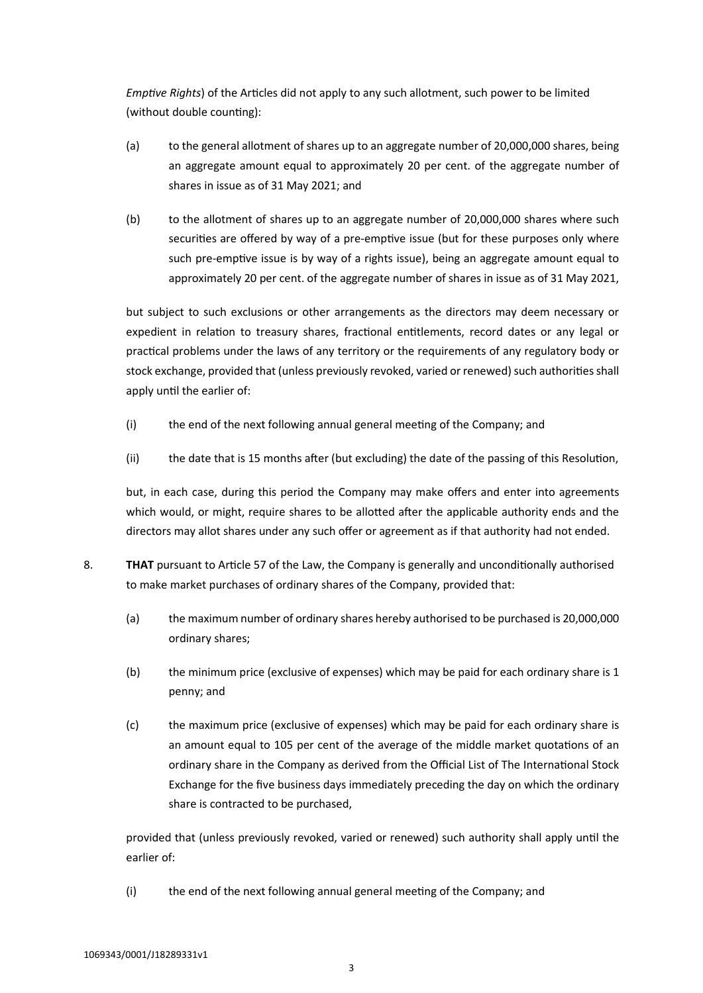*Emptive Rights*) of the Articles did not apply to any such allotment, such power to be limited (without double counting):

- (a) to the general allotment of shares up to an aggregate number of 20,000,000 shares, being an aggregate amount equal to approximately 20 per cent. of the aggregate number of shares in issue as of 31 May 2021; and
- (b) to the allotment of shares up to an aggregate number of 20,000,000 shares where such securities are offered by way of a pre-emptive issue (but for these purposes only where such pre-emptive issue is by way of a rights issue), being an aggregate amount equal to approximately 20 per cent. of the aggregate number of shares in issue as of 31 May 2021,

but subject to such exclusions or other arrangements as the directors may deem necessary or expedient in relation to treasury shares, fractional entitlements, record dates or any legal or practical problems under the laws of any territory or the requirements of any regulatory body or stock exchange, provided that (unless previously revoked, varied or renewed) such authorities shall apply until the earlier of:

- (i) the end of the next following annual general meeting of the Company; and
- (ii) the date that is 15 months after (but excluding) the date of the passing of this Resolution,

but, in each case, during this period the Company may make offers and enter into agreements which would, or might, require shares to be allotted after the applicable authority ends and the directors may allot shares under any such offer or agreement as if that authority had not ended.

- <span id="page-2-0"></span>8. **THAT** pursuant to Article 57 of the Law, the Company is generally and unconditionally authorised to make market purchases of ordinary shares of the Company, provided that:
	- (a) the maximum number of ordinary shares hereby authorised to be purchased is 20,000,000 ordinary shares;
	- (b) the minimum price (exclusive of expenses) which may be paid for each ordinary share is 1 penny; and
	- (c) the maximum price (exclusive of expenses) which may be paid for each ordinary share is an amount equal to 105 per cent of the average of the middle market quotations of an ordinary share in the Company as derived from the Official List of The International Stock Exchange for the five business days immediately preceding the day on which the ordinary share is contracted to be purchased,

provided that (unless previously revoked, varied or renewed) such authority shall apply until the earlier of:

(i) the end of the next following annual general meeting of the Company; and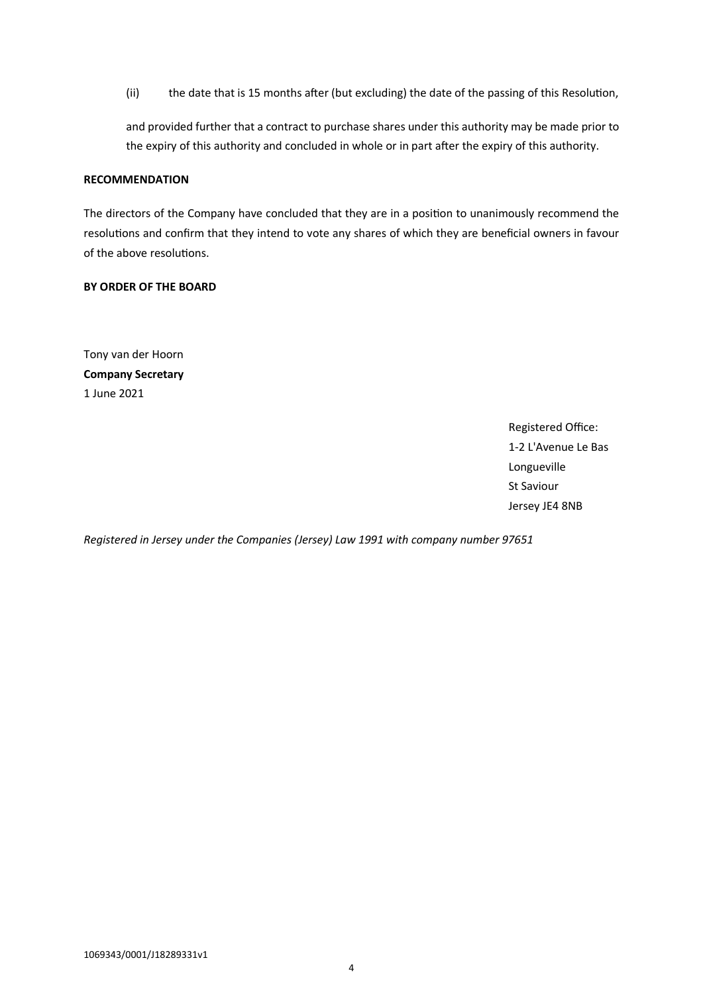(ii) the date that is 15 months after (but excluding) the date of the passing of this Resolution,

and provided further that a contract to purchase shares under this authority may be made prior to the expiry of this authority and concluded in whole or in part after the expiry of this authority.

### **RECOMMENDATION**

The directors of the Company have concluded that they are in a position to unanimously recommend the resolutions and confirm that they intend to vote any shares of which they are beneficial owners in favour of the above resolutions.

### **BY ORDER OF THE BOARD**

Tony van der Hoorn **Company Secretary** 1 June 2021

> Registered Office: 1-2 L'Avenue Le Bas Longueville St Saviour Jersey JE4 8NB

*Registered in Jersey under the Companies (Jersey) Law 1991 with company number 97651*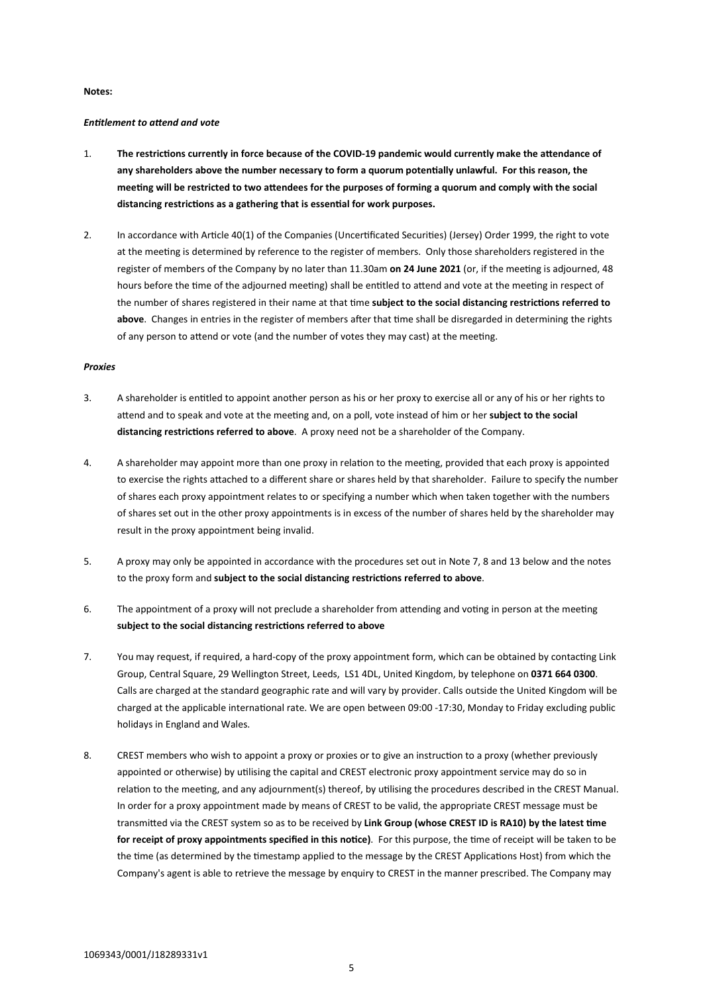#### **Notes:**

### *Entitlement to attend and vote*

- 1. **The restrictions currently in force because of the COVID-19 pandemic would currently make the attendance of any shareholders above the number necessary to form a quorum potentially unlawful. For this reason, the meeting will be restricted to two attendees for the purposes of forming a quorum and comply with the social distancing restrictions as a gathering that is essential for work purposes.**
- 2. In accordance with Article 40(1) of the Companies (Uncertificated Securities) (Jersey) Order 1999, the right to vote at the meeting is determined by reference to the register of members. Only those shareholders registered in the register of members of the Company by no later than 11.30am **on 24 June 2021** (or, if the meeting is adjourned, 48 hours before the time of the adjourned meeting) shall be entitled to attend and vote at the meeting in respect of the number of shares registered in their name at that time **subject to the social distancing restrictions referred to above**. Changes in entries in the register of members after that time shall be disregarded in determining the rights of any person to attend or vote (and the number of votes they may cast) at the meeting.

#### *Proxies*

- 3. A shareholder is entitled to appoint another person as his or her proxy to exercise all or any of his or her rights to attend and to speak and vote at the meeting and, on a poll, vote instead of him or her **subject to the social distancing restrictions referred to above**. A proxy need not be a shareholder of the Company.
- 4. A shareholder may appoint more than one proxy in relation to the meeting, provided that each proxy is appointed to exercise the rights attached to a different share or shares held by that shareholder. Failure to specify the number of shares each proxy appointment relates to or specifying a number which when taken together with the numbers of shares set out in the other proxy appointments is in excess of the number of shares held by the shareholder may result in the proxy appointment being invalid.
- 5. A proxy may only be appointed in accordance with the procedures set out in Note [7](#page-4-0), [8](#page-4-1) and [13 below](#page-5-0) and the notes to the proxy form and **subject to the social distancing restrictions referred to above**.
- 6. The appointment of a proxy will not preclude a shareholder from attending and voting in person at the meeting **subject to the social distancing restrictions referred to above**
- <span id="page-4-0"></span>7. You may request, if required, a hard-copy of the proxy appointment form, which can be obtained by contacting Link Group, Central Square, 29 Wellington Street, Leeds, LS1 4DL, United Kingdom, by telephone on **0371 664 0300**. Calls are charged at the standard geographic rate and will vary by provider. Calls outside the United Kingdom will be charged at the applicable international rate. We are open between 09:00 -17:30, Monday to Friday excluding public holidays in England and Wales.
- <span id="page-4-1"></span>8. CREST members who wish to appoint a proxy or proxies or to give an instruction to a proxy (whether previously appointed or otherwise) by utilising the capital and CREST electronic proxy appointment service may do so in relation to the meeting, and any adjournment(s) thereof, by utilising the procedures described in the CREST Manual. In order for a proxy appointment made by means of CREST to be valid, the appropriate CREST message must be transmitted via the CREST system so as to be received by **Link Group (whose CREST ID is RA10) by the latest time for receipt of proxy appointments specified in this notice)**. For this purpose, the time of receipt will be taken to be the time (as determined by the timestamp applied to the message by the CREST Applications Host) from which the Company's agent is able to retrieve the message by enquiry to CREST in the manner prescribed. The Company may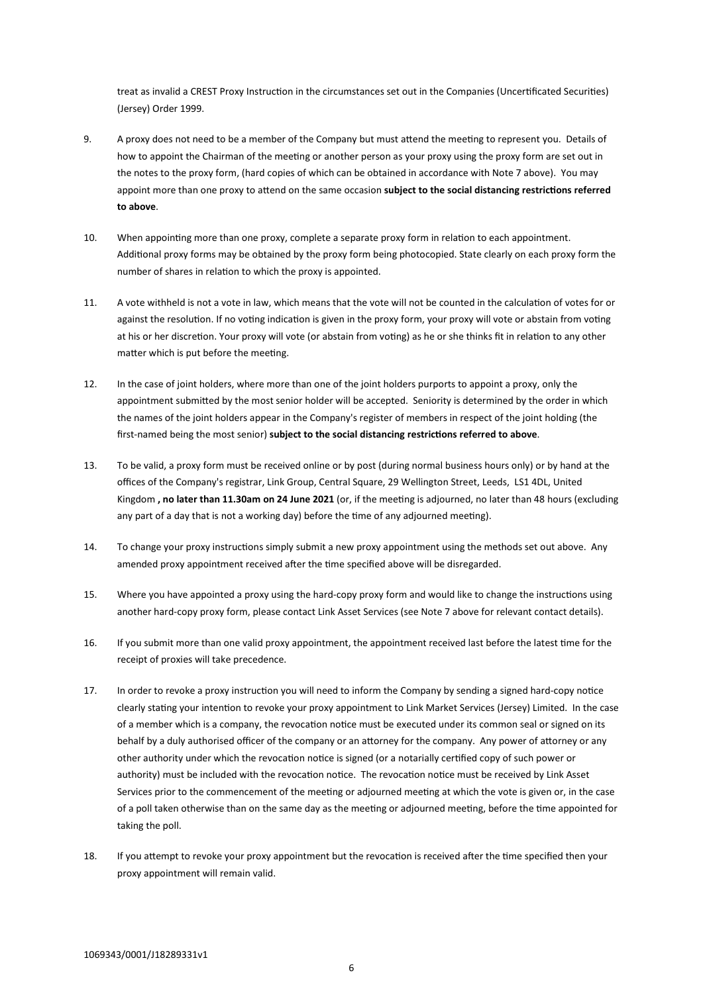treat as invalid a CREST Proxy Instruction in the circumstances set out in the Companies (Uncertificated Securities) (Jersey) Order 1999.

- 9. A proxy does not need to be a member of the Company but must attend the meeting to represent you. Details of how to appoint the Chairman of the meeting or another person as your proxy using the proxy form are set out in the notes to the proxy form, (hard copies of which can be obtained in accordance with Not[e 7 above\)](#page-4-0). You may appoint more than one proxy to attend on the same occasion **subject to the social distancing restrictions referred to above**.
- 10. When appointing more than one proxy, complete a separate proxy form in relation to each appointment. Additional proxy forms may be obtained by the proxy form being photocopied. State clearly on each proxy form the number of shares in relation to which the proxy is appointed.
- 11. A vote withheld is not a vote in law, which means that the vote will not be counted in the calculation of votes for or against the resolution. If no voting indication is given in the proxy form, your proxy will vote or abstain from voting at his or her discretion. Your proxy will vote (or abstain from voting) as he or she thinks fit in relation to any other matter which is put before the meeting.
- 12. In the case of joint holders, where more than one of the joint holders purports to appoint a proxy, only the appointment submitted by the most senior holder will be accepted. Seniority is determined by the order in which the names of the joint holders appear in the Company's register of members in respect of the joint holding (the first-named being the most senior) **subject to the social distancing restrictions referred to above**.
- <span id="page-5-0"></span>13. To be valid, a proxy form must be received online or by post (during normal business hours only) or by hand at the offices of the Company's registrar, Link Group, Central Square, 29 Wellington Street, Leeds, LS1 4DL, United Kingdom **, no later than 11.30am on 24 June 2021** (or, if the meeting is adjourned, no later than 48 hours (excluding any part of a day that is not a working day) before the time of any adjourned meeting).
- 14. To change your proxy instructions simply submit a new proxy appointment using the methods set out above. Any amended proxy appointment received after the time specified above will be disregarded.
- 15. Where you have appointed a proxy using the hard-copy proxy form and would like to change the instructions using another hard-copy proxy form, please contact Link Asset Services (see Note [7 above](#page-4-0) for relevant contact details).
- 16. If you submit more than one valid proxy appointment, the appointment received last before the latest time for the receipt of proxies will take precedence.
- 17. In order to revoke a proxy instruction you will need to inform the Company by sending a signed hard-copy notice clearly stating your intention to revoke your proxy appointment to Link Market Services (Jersey) Limited. In the case of a member which is a company, the revocation notice must be executed under its common seal or signed on its behalf by a duly authorised officer of the company or an attorney for the company. Any power of attorney or any other authority under which the revocation notice is signed (or a notarially certified copy of such power or authority) must be included with the revocation notice. The revocation notice must be received by Link Asset Services prior to the commencement of the meeting or adjourned meeting at which the vote is given or, in the case of a poll taken otherwise than on the same day as the meeting or adjourned meeting, before the time appointed for taking the poll.
- 18. If you attempt to revoke your proxy appointment but the revocation is received after the time specified then your proxy appointment will remain valid.